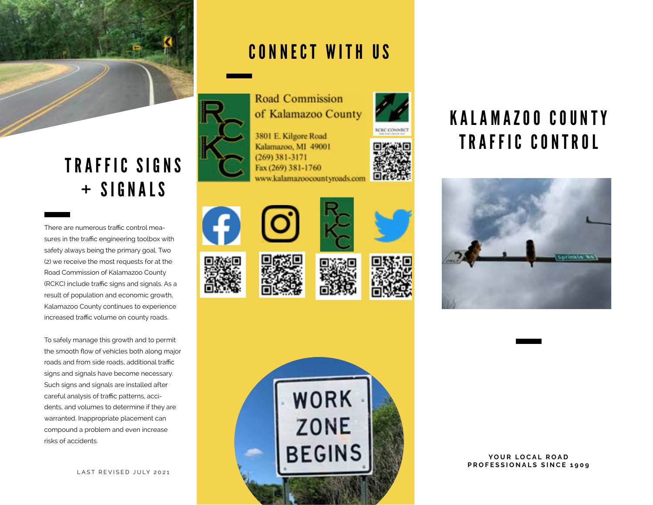

# TRAFFIC SIGNS + SIGNALS

There are numerous traffic control measures in the traffic engineering toolbox with safety always being the primary goal. Two (2) we receive the most requests for at the Road Commission of Kalamazoo County (RCKC) include traffic signs and signals. As a result of population and economic growth, Kalamazoo County continues to experience increased traffic volume on county roads.

To safely manage this growth and to permit the smooth flow of vehicles both along major roads and from side roads, additional traffic signs and signals have become necessary. Such signs and signals are installed after careful analysis of traffic patterns, accidents, and volumes to determine if they are warranted. Inappropriate placement can compound a problem and even increase risks of accidents.

LAST REVISED JULY 2021

### CONNECT WITH US



3801 E. Kilgore Road Kalamazoo, MI 49001  $(269)$  381-3171 Fax (269) 381-1760 www.kalamazoocountyroads.com





















YOUR LOCAL ROAD **PROFESSIONALS SINCE 1909**